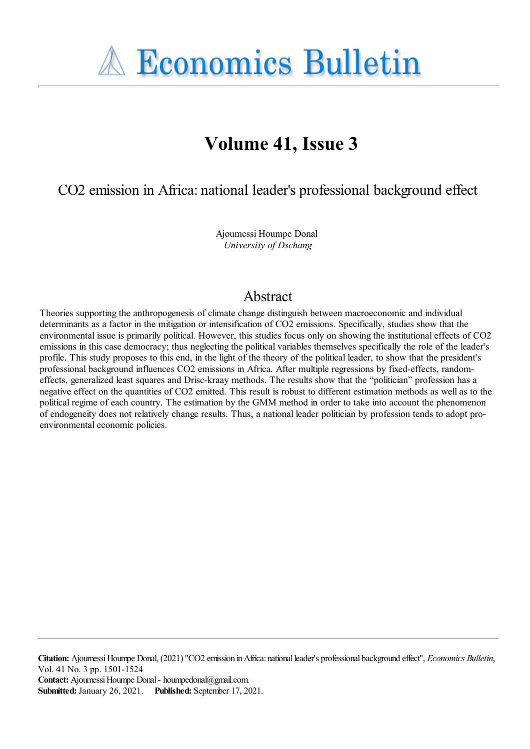**A Economics Bulletin** 

# **Volume 41, Issue 3**

CO2 emission in Africa: national leader's professional background effect

Ajoumessi Houmpe Donal *University of Dschang*

## Abstract

Theories supporting the anthropogenesis of climate change distinguish between macroeconomic and individual determinants as a factor in the mitigation or intensification of CO2 emissions. Specifically, studies show that the environmental issue is primarily political. However, this studies focus only on showing the institutional effects of CO2 emissions in this case democracy; thus neglecting the political variables themselves specifically the role of the leader's profile. This study proposes to this end, in the light of the theory of the political leader, to show that the president's professional background influences CO2 emissions in Africa. After multiple regressions by fixed-effects, randomeffects, generalized least squares and Drisc-kraay methods. The results show that the "politician" profession has a negative effect on the quantities of CO2 emitted. This result is robust to different estimation methods as well as to the political regime of each country. The estimation by the GMM method in order to take into account the phenomenon of endogeneity does not relatively change results. Thus, a national leader politician by profession tends to adopt proenvironmental economic policies.

**Citation:** AjoumessiHoumpe Donal, (2021) ''CO2 emission inAfrica: nationalleader's professional background effect'', *Economics Bulletin*, Vol. 41 No. 3 pp. 1501-1524 **Contact:** Ajoumessi Houmpe Donal - houmpedonal@gmail.com. **Submitted:** January 26, 2021. **Published:** September 17, 2021.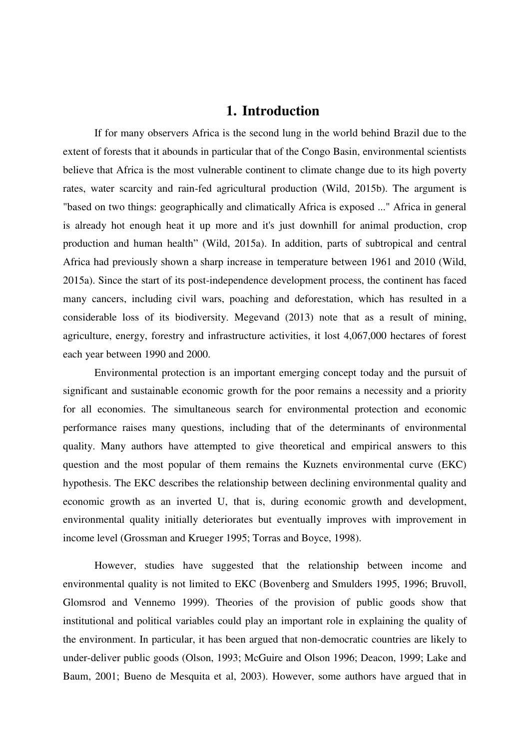#### **1. Introduction**

 If for many observers Africa is the second lung in the world behind Brazil due to the extent of forests that it abounds in particular that of the Congo Basin, environmental scientists believe that Africa is the most vulnerable continent to climate change due to its high poverty rates, water scarcity and rain-fed agricultural production (Wild, 2015b). The argument is "based on two things: geographically and climatically Africa is exposed ..." Africa in general is already hot enough heat it up more and it's just downhill for animal production, crop production and human health" (Wild, 2015a). In addition, parts of subtropical and central Africa had previously shown a sharp increase in temperature between 1961 and 2010 (Wild, 2015a). Since the start of its post-independence development process, the continent has faced many cancers, including civil wars, poaching and deforestation, which has resulted in a considerable loss of its biodiversity. Megevand (2013) note that as a result of mining, agriculture, energy, forestry and infrastructure activities, it lost 4,067,000 hectares of forest each year between 1990 and 2000.

 Environmental protection is an important emerging concept today and the pursuit of significant and sustainable economic growth for the poor remains a necessity and a priority for all economies. The simultaneous search for environmental protection and economic performance raises many questions, including that of the determinants of environmental quality. Many authors have attempted to give theoretical and empirical answers to this question and the most popular of them remains the Kuznets environmental curve (EKC) hypothesis. The EKC describes the relationship between declining environmental quality and economic growth as an inverted U, that is, during economic growth and development, environmental quality initially deteriorates but eventually improves with improvement in income level (Grossman and Krueger 1995; Torras and Boyce, 1998).

 However, studies have suggested that the relationship between income and environmental quality is not limited to EKC (Bovenberg and Smulders 1995, 1996; Bruvoll, Glomsrod and Vennemo 1999). Theories of the provision of public goods show that institutional and political variables could play an important role in explaining the quality of the environment. In particular, it has been argued that non-democratic countries are likely to under-deliver public goods (Olson, 1993; McGuire and Olson 1996; Deacon, 1999; Lake and Baum, 2001; Bueno de Mesquita et al, 2003). However, some authors have argued that in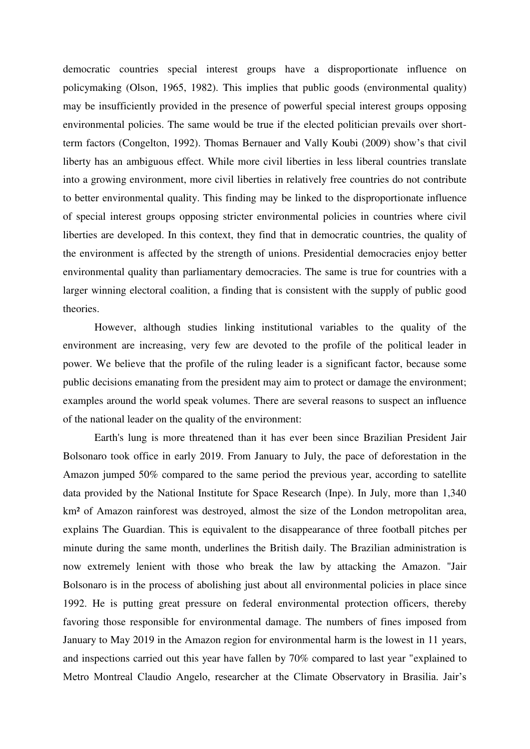democratic countries special interest groups have a disproportionate influence on policymaking (Olson, 1965, 1982). This implies that public goods (environmental quality) may be insufficiently provided in the presence of powerful special interest groups opposing environmental policies. The same would be true if the elected politician prevails over shortterm factors (Congelton, 1992). Thomas Bernauer and Vally Koubi (2009) show's that civil liberty has an ambiguous effect. While more civil liberties in less liberal countries translate into a growing environment, more civil liberties in relatively free countries do not contribute to better environmental quality. This finding may be linked to the disproportionate influence of special interest groups opposing stricter environmental policies in countries where civil liberties are developed. In this context, they find that in democratic countries, the quality of the environment is affected by the strength of unions. Presidential democracies enjoy better environmental quality than parliamentary democracies. The same is true for countries with a larger winning electoral coalition, a finding that is consistent with the supply of public good theories.

 However, although studies linking institutional variables to the quality of the environment are increasing, very few are devoted to the profile of the political leader in power. We believe that the profile of the ruling leader is a significant factor, because some public decisions emanating from the president may aim to protect or damage the environment; examples around the world speak volumes. There are several reasons to suspect an influence of the national leader on the quality of the environment:

 Earth's lung is more threatened than it has ever been since Brazilian President Jair Bolsonaro took office in early 2019. From January to July, the pace of deforestation in the Amazon jumped 50% compared to the same period the previous year, according to satellite data provided by the National Institute for Space Research (Inpe). In July, more than 1,340 km² of Amazon rainforest was destroyed, almost the size of the London metropolitan area, explains The Guardian. This is equivalent to the disappearance of three football pitches per minute during the same month, underlines the British daily. The Brazilian administration is now extremely lenient with those who break the law by attacking the Amazon. "Jair Bolsonaro is in the process of abolishing just about all environmental policies in place since 1992. He is putting great pressure on federal environmental protection officers, thereby favoring those responsible for environmental damage. The numbers of fines imposed from January to May 2019 in the Amazon region for environmental harm is the lowest in 11 years, and inspections carried out this year have fallen by 70% compared to last year "explained to Metro Montreal Claudio Angelo, researcher at the Climate Observatory in Brasilia. Jair's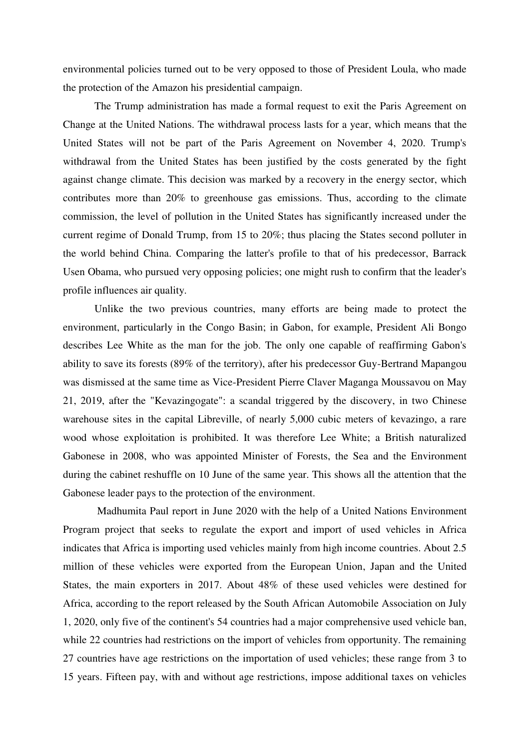environmental policies turned out to be very opposed to those of President Loula, who made the protection of the Amazon his presidential campaign.

 The Trump administration has made a formal request to exit the Paris Agreement on Change at the United Nations. The withdrawal process lasts for a year, which means that the United States will not be part of the Paris Agreement on November 4, 2020. Trump's withdrawal from the United States has been justified by the costs generated by the fight against change climate. This decision was marked by a recovery in the energy sector, which contributes more than 20% to greenhouse gas emissions. Thus, according to the climate commission, the level of pollution in the United States has significantly increased under the current regime of Donald Trump, from 15 to 20%; thus placing the States second polluter in the world behind China. Comparing the latter's profile to that of his predecessor, Barrack Usen Obama, who pursued very opposing policies; one might rush to confirm that the leader's profile influences air quality.

 Unlike the two previous countries, many efforts are being made to protect the environment, particularly in the Congo Basin; in Gabon, for example, President Ali Bongo describes Lee White as the man for the job. The only one capable of reaffirming Gabon's ability to save its forests (89% of the territory), after his predecessor Guy-Bertrand Mapangou was dismissed at the same time as Vice-President Pierre Claver Maganga Moussavou on May 21, 2019, after the "Kevazingogate": a scandal triggered by the discovery, in two Chinese warehouse sites in the capital Libreville, of nearly 5,000 cubic meters of kevazingo, a rare wood whose exploitation is prohibited. It was therefore Lee White; a British naturalized Gabonese in 2008, who was appointed Minister of Forests, the Sea and the Environment during the cabinet reshuffle on 10 June of the same year. This shows all the attention that the Gabonese leader pays to the protection of the environment.

 Madhumita Paul report in June 2020 with the help of a United Nations Environment Program project that seeks to regulate the export and import of used vehicles in Africa indicates that Africa is importing used vehicles mainly from high income countries. About 2.5 million of these vehicles were exported from the European Union, Japan and the United States, the main exporters in 2017. About 48% of these used vehicles were destined for Africa, according to the report released by the South African Automobile Association on July 1, 2020, only five of the continent's 54 countries had a major comprehensive used vehicle ban, while 22 countries had restrictions on the import of vehicles from opportunity. The remaining 27 countries have age restrictions on the importation of used vehicles; these range from 3 to 15 years. Fifteen pay, with and without age restrictions, impose additional taxes on vehicles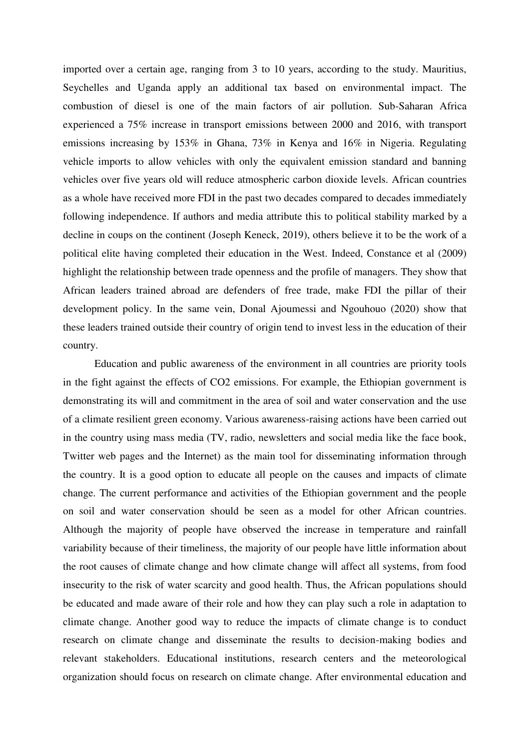imported over a certain age, ranging from 3 to 10 years, according to the study. Mauritius, Seychelles and Uganda apply an additional tax based on environmental impact. The combustion of diesel is one of the main factors of air pollution. Sub-Saharan Africa experienced a 75% increase in transport emissions between 2000 and 2016, with transport emissions increasing by 153% in Ghana, 73% in Kenya and 16% in Nigeria. Regulating vehicle imports to allow vehicles with only the equivalent emission standard and banning vehicles over five years old will reduce atmospheric carbon dioxide levels. African countries as a whole have received more FDI in the past two decades compared to decades immediately following independence. If authors and media attribute this to political stability marked by a decline in coups on the continent (Joseph Keneck, 2019), others believe it to be the work of a political elite having completed their education in the West. Indeed, Constance et al (2009) highlight the relationship between trade openness and the profile of managers. They show that African leaders trained abroad are defenders of free trade, make FDI the pillar of their development policy. In the same vein, Donal Ajoumessi and Ngouhouo (2020) show that these leaders trained outside their country of origin tend to invest less in the education of their country.

 Education and public awareness of the environment in all countries are priority tools in the fight against the effects of CO2 emissions. For example, the Ethiopian government is demonstrating its will and commitment in the area of soil and water conservation and the use of a climate resilient green economy. Various awareness-raising actions have been carried out in the country using mass media (TV, radio, newsletters and social media like the face book, Twitter web pages and the Internet) as the main tool for disseminating information through the country. It is a good option to educate all people on the causes and impacts of climate change. The current performance and activities of the Ethiopian government and the people on soil and water conservation should be seen as a model for other African countries. Although the majority of people have observed the increase in temperature and rainfall variability because of their timeliness, the majority of our people have little information about the root causes of climate change and how climate change will affect all systems, from food insecurity to the risk of water scarcity and good health. Thus, the African populations should be educated and made aware of their role and how they can play such a role in adaptation to climate change. Another good way to reduce the impacts of climate change is to conduct research on climate change and disseminate the results to decision-making bodies and relevant stakeholders. Educational institutions, research centers and the meteorological organization should focus on research on climate change. After environmental education and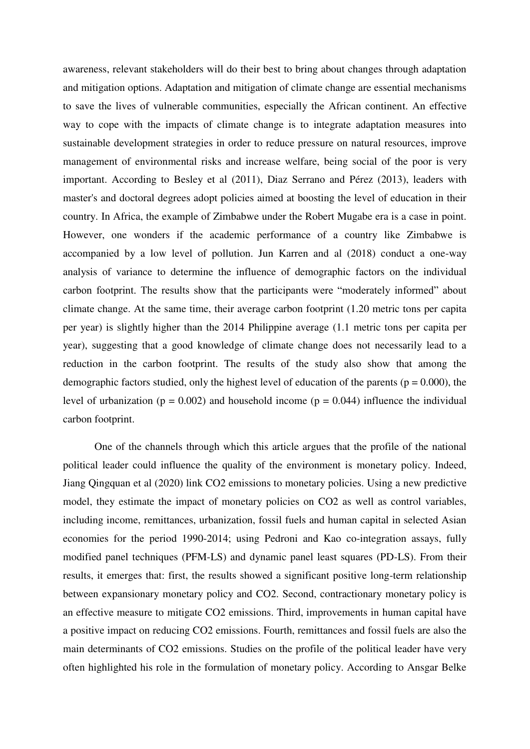awareness, relevant stakeholders will do their best to bring about changes through adaptation and mitigation options. Adaptation and mitigation of climate change are essential mechanisms to save the lives of vulnerable communities, especially the African continent. An effective way to cope with the impacts of climate change is to integrate adaptation measures into sustainable development strategies in order to reduce pressure on natural resources, improve management of environmental risks and increase welfare, being social of the poor is very important. According to Besley et al (2011), Diaz Serrano and Pérez (2013), leaders with master's and doctoral degrees adopt policies aimed at boosting the level of education in their country. In Africa, the example of Zimbabwe under the Robert Mugabe era is a case in point. However, one wonders if the academic performance of a country like Zimbabwe is accompanied by a low level of pollution. Jun Karren and al (2018) conduct a one-way analysis of variance to determine the influence of demographic factors on the individual carbon footprint. The results show that the participants were "moderately informed" about climate change. At the same time, their average carbon footprint (1.20 metric tons per capita per year) is slightly higher than the 2014 Philippine average (1.1 metric tons per capita per year), suggesting that a good knowledge of climate change does not necessarily lead to a reduction in the carbon footprint. The results of the study also show that among the demographic factors studied, only the highest level of education of the parents ( $p = 0.000$ ), the level of urbanization ( $p = 0.002$ ) and household income ( $p = 0.044$ ) influence the individual carbon footprint.

 One of the channels through which this article argues that the profile of the national political leader could influence the quality of the environment is monetary policy. Indeed, Jiang Qingquan et al (2020) link CO2 emissions to monetary policies. Using a new predictive model, they estimate the impact of monetary policies on CO2 as well as control variables, including income, remittances, urbanization, fossil fuels and human capital in selected Asian economies for the period 1990-2014; using Pedroni and Kao co-integration assays, fully modified panel techniques (PFM-LS) and dynamic panel least squares (PD-LS). From their results, it emerges that: first, the results showed a significant positive long-term relationship between expansionary monetary policy and CO2. Second, contractionary monetary policy is an effective measure to mitigate CO2 emissions. Third, improvements in human capital have a positive impact on reducing CO2 emissions. Fourth, remittances and fossil fuels are also the main determinants of CO2 emissions. Studies on the profile of the political leader have very often highlighted his role in the formulation of monetary policy. According to Ansgar Belke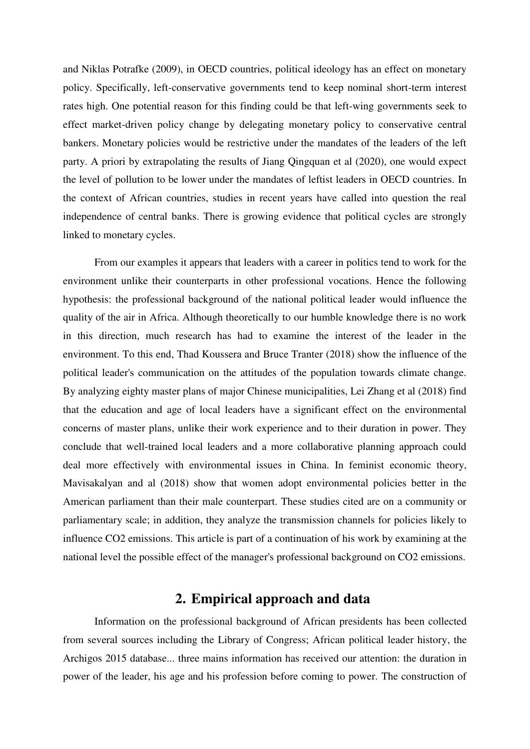and Niklas Potrafke (2009), in OECD countries, political ideology has an effect on monetary policy. Specifically, left-conservative governments tend to keep nominal short-term interest rates high. One potential reason for this finding could be that left-wing governments seek to effect market-driven policy change by delegating monetary policy to conservative central bankers. Monetary policies would be restrictive under the mandates of the leaders of the left party. A priori by extrapolating the results of Jiang Qingquan et al (2020), one would expect the level of pollution to be lower under the mandates of leftist leaders in OECD countries. In the context of African countries, studies in recent years have called into question the real independence of central banks. There is growing evidence that political cycles are strongly linked to monetary cycles.

 From our examples it appears that leaders with a career in politics tend to work for the environment unlike their counterparts in other professional vocations. Hence the following hypothesis: the professional background of the national political leader would influence the quality of the air in Africa. Although theoretically to our humble knowledge there is no work in this direction, much research has had to examine the interest of the leader in the environment. To this end, Thad Koussera and Bruce Tranter (2018) show the influence of the political leader's communication on the attitudes of the population towards climate change. By analyzing eighty master plans of major Chinese municipalities, Lei Zhang et al (2018) find that the education and age of local leaders have a significant effect on the environmental concerns of master plans, unlike their work experience and to their duration in power. They conclude that well-trained local leaders and a more collaborative planning approach could deal more effectively with environmental issues in China. In feminist economic theory, Mavisakalyan and al (2018) show that women adopt environmental policies better in the American parliament than their male counterpart. These studies cited are on a community or parliamentary scale; in addition, they analyze the transmission channels for policies likely to influence CO2 emissions. This article is part of a continuation of his work by examining at the national level the possible effect of the manager's professional background on CO2 emissions.

### **2. Empirical approach and data**

 Information on the professional background of African presidents has been collected from several sources including the Library of Congress; African political leader history, the Archigos 2015 database... three mains information has received our attention: the duration in power of the leader, his age and his profession before coming to power. The construction of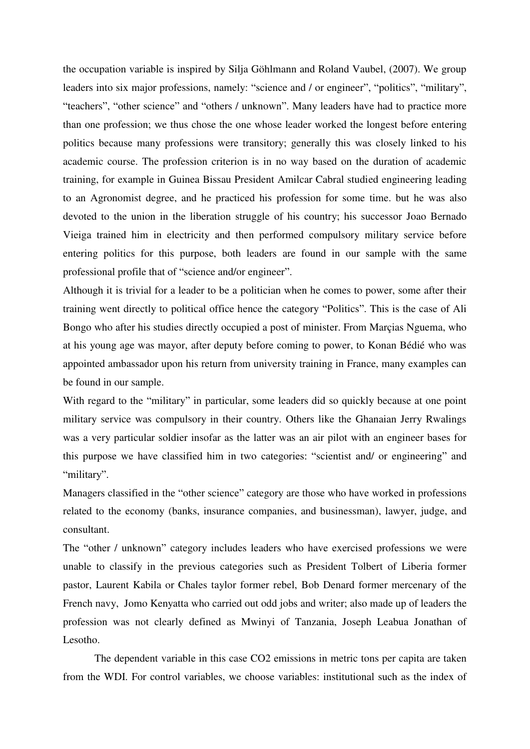the occupation variable is inspired by Silja Göhlmann and Roland Vaubel, (2007). We group leaders into six major professions, namely: "science and / or engineer", "politics", "military", "teachers", "other science" and "others / unknown". Many leaders have had to practice more than one profession; we thus chose the one whose leader worked the longest before entering politics because many professions were transitory; generally this was closely linked to his academic course. The profession criterion is in no way based on the duration of academic training, for example in Guinea Bissau President Amilcar Cabral studied engineering leading to an Agronomist degree, and he practiced his profession for some time. but he was also devoted to the union in the liberation struggle of his country; his successor Joao Bernado Vieiga trained him in electricity and then performed compulsory military service before entering politics for this purpose, both leaders are found in our sample with the same professional profile that of "science and/or engineer".

Although it is trivial for a leader to be a politician when he comes to power, some after their training went directly to political office hence the category "Politics". This is the case of Ali Bongo who after his studies directly occupied a post of minister. From Marçias Nguema, who at his young age was mayor, after deputy before coming to power, to Konan Bédié who was appointed ambassador upon his return from university training in France, many examples can be found in our sample.

With regard to the "military" in particular, some leaders did so quickly because at one point military service was compulsory in their country. Others like the Ghanaian Jerry Rwalings was a very particular soldier insofar as the latter was an air pilot with an engineer bases for this purpose we have classified him in two categories: "scientist and/ or engineering" and "military".

Managers classified in the "other science" category are those who have worked in professions related to the economy (banks, insurance companies, and businessman), lawyer, judge, and consultant.

The "other / unknown" category includes leaders who have exercised professions we were unable to classify in the previous categories such as President Tolbert of Liberia former pastor, Laurent Kabila or Chales taylor former rebel, Bob Denard former mercenary of the French navy, Jomo Kenyatta who carried out odd jobs and writer; also made up of leaders the profession was not clearly defined as Mwinyi of Tanzania, Joseph Leabua Jonathan of Lesotho.

 The dependent variable in this case CO2 emissions in metric tons per capita are taken from the WDI. For control variables, we choose variables: institutional such as the index of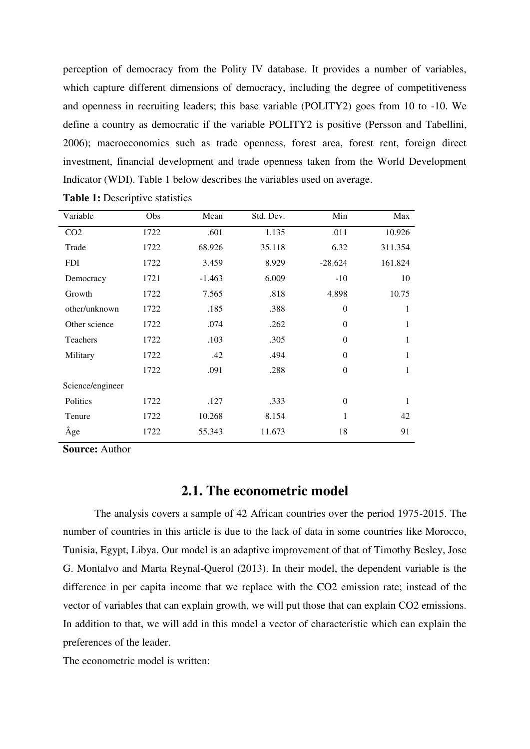perception of democracy from the Polity IV database. It provides a number of variables, which capture different dimensions of democracy, including the degree of competitiveness and openness in recruiting leaders; this base variable (POLITY2) goes from 10 to -10. We define a country as democratic if the variable POLITY2 is positive (Persson and Tabellini, 2006); macroeconomics such as trade openness, forest area, forest rent, foreign direct investment, financial development and trade openness taken from the World Development Indicator (WDI). Table 1 below describes the variables used on average.

| Variable         | <b>Obs</b> | Mean     | Std. Dev. | Min              | Max     |
|------------------|------------|----------|-----------|------------------|---------|
| CO <sub>2</sub>  | 1722       | .601     | 1.135     | .011             | 10.926  |
| Trade            | 1722       | 68.926   | 35.118    | 6.32             | 311.354 |
| <b>FDI</b>       | 1722       | 3.459    | 8.929     | $-28.624$        | 161.824 |
| Democracy        | 1721       | $-1.463$ | 6.009     | $-10$            | 10      |
| Growth           | 1722       | 7.565    | .818      | 4.898            | 10.75   |
| other/unknown    | 1722       | .185     | .388      | $\theta$         | 1       |
| Other science    | 1722       | .074     | .262      | $\boldsymbol{0}$ | 1       |
| Teachers         | 1722       | .103     | .305      | $\theta$         | 1       |
| Military         | 1722       | .42      | .494      | $\theta$         | 1       |
|                  | 1722       | .091     | .288      | $\theta$         | 1       |
| Science/engineer |            |          |           |                  |         |
| Politics         | 1722       | .127     | .333      | $\theta$         | 1       |
| Tenure           | 1722       | 10.268   | 8.154     | $\mathbf{1}$     | 42      |
| Âge              | 1722       | 55.343   | 11.673    | 18               | 91      |

**Table 1:** Descriptive statistics

**Source:** Author

#### **2.1. The econometric model**

 The analysis covers a sample of 42 African countries over the period 1975-2015. The number of countries in this article is due to the lack of data in some countries like Morocco, Tunisia, Egypt, Libya. Our model is an adaptive improvement of that of Timothy Besley, Jose G. Montalvo and Marta Reynal-Querol (2013). In their model, the dependent variable is the difference in per capita income that we replace with the CO2 emission rate; instead of the vector of variables that can explain growth, we will put those that can explain CO2 emissions. In addition to that, we will add in this model a vector of characteristic which can explain the preferences of the leader.

The econometric model is written: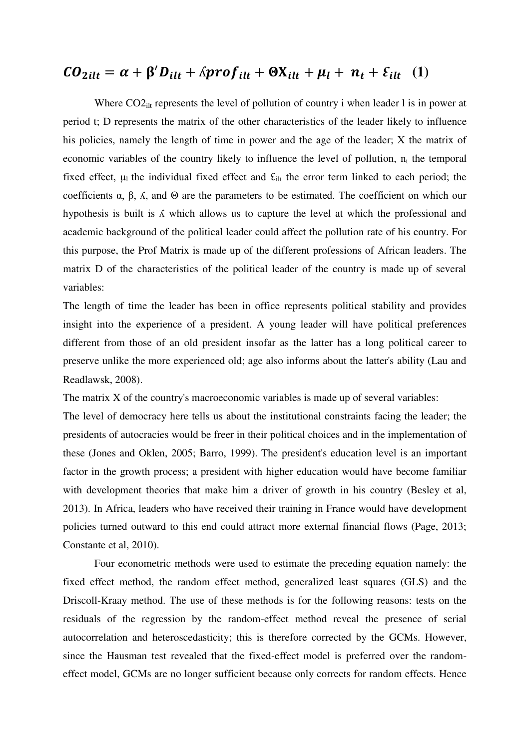# $CO_{2illt} = \alpha + \beta' D_{illt} + \beta prof_{ilt} + \Theta X_{illt} + \mu_l + n_t + \varepsilon_{ilt}$  (1)

Where  $CO2<sub>ilt</sub>$  represents the level of pollution of country i when leader l is in power at period t; D represents the matrix of the other characteristics of the leader likely to influence his policies, namely the length of time in power and the age of the leader; X the matrix of economic variables of the country likely to influence the level of pollution,  $n_t$  the temporal fixed effect,  $\mu_1$  the individual fixed effect and  $\epsilon_{\text{ilt}}$  the error term linked to each period; the coefficients α, β, ʎ, and Θ are the parameters to be estimated. The coefficient on which our hypothesis is built is  $\Lambda$  which allows us to capture the level at which the professional and academic background of the political leader could affect the pollution rate of his country. For this purpose, the Prof Matrix is made up of the different professions of African leaders. The matrix D of the characteristics of the political leader of the country is made up of several variables:

The length of time the leader has been in office represents political stability and provides insight into the experience of a president. A young leader will have political preferences different from those of an old president insofar as the latter has a long political career to preserve unlike the more experienced old; age also informs about the latter's ability (Lau and Readlawsk, 2008).

The matrix X of the country's macroeconomic variables is made up of several variables:

The level of democracy here tells us about the institutional constraints facing the leader; the presidents of autocracies would be freer in their political choices and in the implementation of these (Jones and Oklen, 2005; Barro, 1999). The president's education level is an important factor in the growth process; a president with higher education would have become familiar with development theories that make him a driver of growth in his country (Besley et al, 2013). In Africa, leaders who have received their training in France would have development policies turned outward to this end could attract more external financial flows (Page, 2013; Constante et al, 2010).

 Four econometric methods were used to estimate the preceding equation namely: the fixed effect method, the random effect method, generalized least squares (GLS) and the Driscoll-Kraay method. The use of these methods is for the following reasons: tests on the residuals of the regression by the random-effect method reveal the presence of serial autocorrelation and heteroscedasticity; this is therefore corrected by the GCMs. However, since the Hausman test revealed that the fixed-effect model is preferred over the randomeffect model, GCMs are no longer sufficient because only corrects for random effects. Hence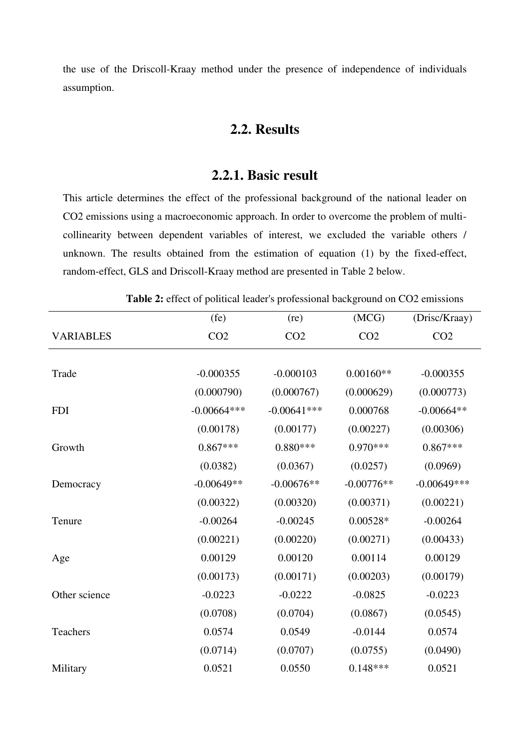the use of the Driscoll-Kraay method under the presence of independence of individuals assumption.

# **2.2. Results**

## **2.2.1. Basic result**

This article determines the effect of the professional background of the national leader on CO2 emissions using a macroeconomic approach. In order to overcome the problem of multicollinearity between dependent variables of interest, we excluded the variable others / unknown. The results obtained from the estimation of equation (1) by the fixed-effect, random-effect, GLS and Driscoll-Kraay method are presented in Table 2 below.

**Table 2:** effect of political leader's professional background on CO2 emissions

|                  | (fe)            | (re)            | (MCG)           | (Drisc/Kraay)   |
|------------------|-----------------|-----------------|-----------------|-----------------|
| <b>VARIABLES</b> | CO <sub>2</sub> | CO <sub>2</sub> | CO <sub>2</sub> | CO <sub>2</sub> |
|                  |                 |                 |                 |                 |
| Trade            | $-0.000355$     | $-0.000103$     | $0.00160**$     | $-0.000355$     |
|                  | (0.000790)      | (0.000767)      | (0.000629)      | (0.000773)      |
| <b>FDI</b>       | $-0.00664***$   | $-0.00641$ ***  | 0.000768        | $-0.00664**$    |
|                  | (0.00178)       | (0.00177)       | (0.00227)       | (0.00306)       |
| Growth           | $0.867***$      | $0.880***$      | $0.970***$      | $0.867***$      |
|                  | (0.0382)        | (0.0367)        | (0.0257)        | (0.0969)        |
| Democracy        | $-0.00649**$    | $-0.00676**$    | $-0.00776**$    | $-0.00649***$   |
|                  | (0.00322)       | (0.00320)       | (0.00371)       | (0.00221)       |
| Tenure           | $-0.00264$      | $-0.00245$      | $0.00528*$      | $-0.00264$      |
|                  | (0.00221)       | (0.00220)       | (0.00271)       | (0.00433)       |
| Age              | 0.00129         | 0.00120         | 0.00114         | 0.00129         |
|                  | (0.00173)       | (0.00171)       | (0.00203)       | (0.00179)       |
| Other science    | $-0.0223$       | $-0.0222$       | $-0.0825$       | $-0.0223$       |
|                  | (0.0708)        | (0.0704)        | (0.0867)        | (0.0545)        |
| Teachers         | 0.0574          | 0.0549          | $-0.0144$       | 0.0574          |
|                  | (0.0714)        | (0.0707)        | (0.0755)        | (0.0490)        |
| Military         | 0.0521          | 0.0550          | $0.148***$      | 0.0521          |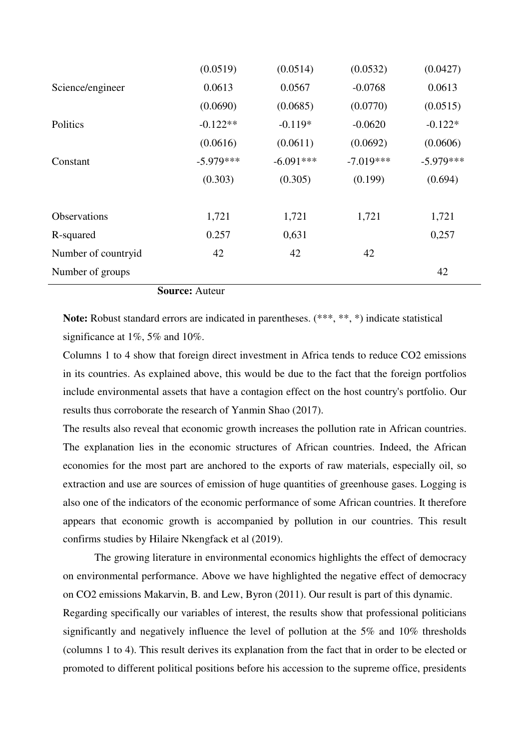|                     | (0.0519)    | (0.0514)    | (0.0532)    | (0.0427)    |
|---------------------|-------------|-------------|-------------|-------------|
| Science/engineer    | 0.0613      | 0.0567      | $-0.0768$   | 0.0613      |
|                     | (0.0690)    | (0.0685)    | (0.0770)    | (0.0515)    |
| Politics            | $-0.122**$  | $-0.119*$   | $-0.0620$   | $-0.122*$   |
|                     | (0.0616)    | (0.0611)    | (0.0692)    | (0.0606)    |
| Constant            | $-5.979***$ | $-6.091***$ | $-7.019***$ | $-5.979***$ |
|                     | (0.303)     | (0.305)     | (0.199)     | (0.694)     |
|                     |             |             |             |             |
| <b>Observations</b> | 1,721       | 1,721       | 1,721       | 1,721       |
| R-squared           | 0.257       | 0,631       |             | 0,257       |
| Number of countryid | 42          | 42          | 42          |             |
| Number of groups    |             |             |             | 42          |

**Source:** Auteur

**Note:** Robust standard errors are indicated in parentheses. (\*\*\*, \*\*, \*) indicate statistical significance at 1%, 5% and 10%.

Columns 1 to 4 show that foreign direct investment in Africa tends to reduce CO2 emissions in its countries. As explained above, this would be due to the fact that the foreign portfolios include environmental assets that have a contagion effect on the host country's portfolio. Our results thus corroborate the research of Yanmin Shao (2017).

The results also reveal that economic growth increases the pollution rate in African countries. The explanation lies in the economic structures of African countries. Indeed, the African economies for the most part are anchored to the exports of raw materials, especially oil, so extraction and use are sources of emission of huge quantities of greenhouse gases. Logging is also one of the indicators of the economic performance of some African countries. It therefore appears that economic growth is accompanied by pollution in our countries. This result confirms studies by Hilaire Nkengfack et al (2019).

 The growing literature in environmental economics highlights the effect of democracy on environmental performance. Above we have highlighted the negative effect of democracy on CO2 emissions Makarvin, B. and Lew, Byron (2011). Our result is part of this dynamic. Regarding specifically our variables of interest, the results show that professional politicians

significantly and negatively influence the level of pollution at the 5% and 10% thresholds (columns 1 to 4). This result derives its explanation from the fact that in order to be elected or promoted to different political positions before his accession to the supreme office, presidents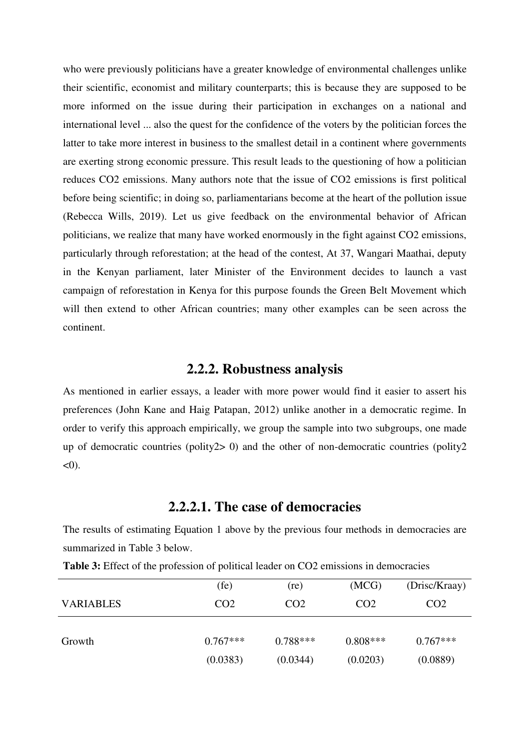who were previously politicians have a greater knowledge of environmental challenges unlike their scientific, economist and military counterparts; this is because they are supposed to be more informed on the issue during their participation in exchanges on a national and international level ... also the quest for the confidence of the voters by the politician forces the latter to take more interest in business to the smallest detail in a continent where governments are exerting strong economic pressure. This result leads to the questioning of how a politician reduces CO2 emissions. Many authors note that the issue of CO2 emissions is first political before being scientific; in doing so, parliamentarians become at the heart of the pollution issue (Rebecca Wills, 2019). Let us give feedback on the environmental behavior of African politicians, we realize that many have worked enormously in the fight against CO2 emissions, particularly through reforestation; at the head of the contest, At 37, Wangari Maathai, deputy in the Kenyan parliament, later Minister of the Environment decides to launch a vast campaign of reforestation in Kenya for this purpose founds the Green Belt Movement which will then extend to other African countries; many other examples can be seen across the continent.

### **2.2.2. Robustness analysis**

As mentioned in earlier essays, a leader with more power would find it easier to assert his preferences (John Kane and Haig Patapan, 2012) unlike another in a democratic regime. In order to verify this approach empirically, we group the sample into two subgroups, one made up of democratic countries (polity2> 0) and the other of non-democratic countries (polity2  $<$  0).

#### **2.2.2.1. The case of democracies**

The results of estimating Equation 1 above by the previous four methods in democracies are summarized in Table 3 below.

|                  | (fe)            | (re)            | (MCG)           | (Drisc/Kraay)   |
|------------------|-----------------|-----------------|-----------------|-----------------|
| <b>VARIABLES</b> | CO <sub>2</sub> | CO <sub>2</sub> | CO <sub>2</sub> | CO <sub>2</sub> |
|                  |                 |                 |                 |                 |
| Growth           | $0.767***$      | $0.788***$      | $0.808***$      | $0.767***$      |
|                  | (0.0383)        | (0.0344)        | (0.0203)        | (0.0889)        |

**Table 3:** Effect of the profession of political leader on CO2 emissions in democracies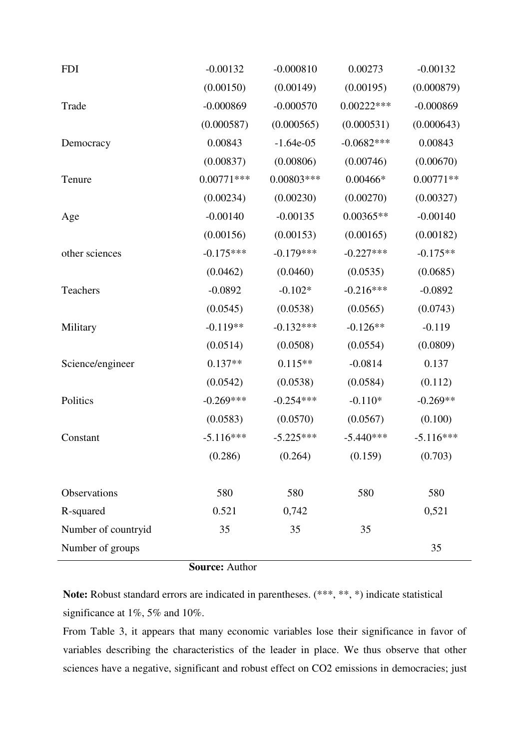| <b>FDI</b>          | $-0.00132$   | $-0.000810$  | 0.00273      | $-0.00132$  |
|---------------------|--------------|--------------|--------------|-------------|
|                     | (0.00150)    | (0.00149)    | (0.00195)    | (0.000879)  |
| Trade               | $-0.000869$  | $-0.000570$  | $0.00222***$ | $-0.000869$ |
|                     | (0.000587)   | (0.000565)   | (0.000531)   | (0.000643)  |
| Democracy           | 0.00843      | $-1.64e-05$  | $-0.0682***$ | 0.00843     |
|                     | (0.00837)    | (0.00806)    | (0.00746)    | (0.00670)   |
| Tenure              | $0.00771***$ | $0.00803***$ | $0.00466*$   | $0.00771**$ |
|                     | (0.00234)    | (0.00230)    | (0.00270)    | (0.00327)   |
| Age                 | $-0.00140$   | $-0.00135$   | $0.00365**$  | $-0.00140$  |
|                     | (0.00156)    | (0.00153)    | (0.00165)    | (0.00182)   |
| other sciences      | $-0.175***$  | $-0.179***$  | $-0.227***$  | $-0.175**$  |
|                     | (0.0462)     | (0.0460)     | (0.0535)     | (0.0685)    |
| Teachers            | $-0.0892$    | $-0.102*$    | $-0.216***$  | $-0.0892$   |
|                     | (0.0545)     | (0.0538)     | (0.0565)     | (0.0743)    |
| Military            | $-0.119**$   | $-0.132***$  | $-0.126**$   | $-0.119$    |
|                     | (0.0514)     | (0.0508)     | (0.0554)     | (0.0809)    |
| Science/engineer    | $0.137**$    | $0.115**$    | $-0.0814$    | 0.137       |
|                     | (0.0542)     | (0.0538)     | (0.0584)     | (0.112)     |
| Politics            | $-0.269***$  | $-0.254***$  | $-0.110*$    | $-0.269**$  |
|                     | (0.0583)     | (0.0570)     | (0.0567)     | (0.100)     |
| Constant            | $-5.116***$  | $-5.225***$  | $-5.440***$  | $-5.116***$ |
|                     | (0.286)      | (0.264)      | (0.159)      | (0.703)     |
|                     |              |              |              |             |
| Observations        | 580          | 580          | 580          | 580         |
| R-squared           | 0.521        | 0,742        |              | 0,521       |
| Number of countryid | 35           | 35           | 35           |             |
| Number of groups    |              |              |              | 35          |

**Source:** Author

**Note:** Robust standard errors are indicated in parentheses. (\*\*\*, \*\*, \*) indicate statistical significance at 1%, 5% and 10%.

From Table 3, it appears that many economic variables lose their significance in favor of variables describing the characteristics of the leader in place. We thus observe that other sciences have a negative, significant and robust effect on CO2 emissions in democracies; just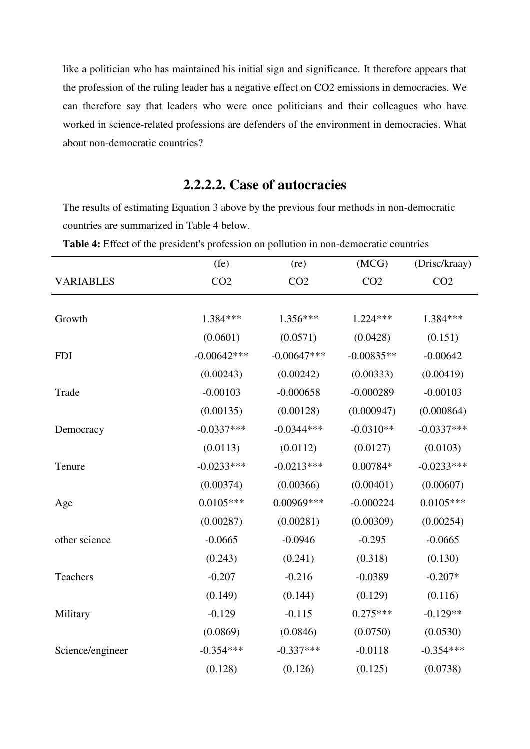like a politician who has maintained his initial sign and significance. It therefore appears that the profession of the ruling leader has a negative effect on CO2 emissions in democracies. We can therefore say that leaders who were once politicians and their colleagues who have worked in science-related professions are defenders of the environment in democracies. What about non-democratic countries?

# **2.2.2.2. Case of autocracies**

The results of estimating Equation 3 above by the previous four methods in non-democratic countries are summarized in Table 4 below.

|                  | (fe)            | (re)            | (MCG)           | (Drisc/kraay)   |
|------------------|-----------------|-----------------|-----------------|-----------------|
| <b>VARIABLES</b> | CO <sub>2</sub> | CO <sub>2</sub> | CO <sub>2</sub> | CO <sub>2</sub> |
|                  |                 |                 |                 |                 |
| Growth           | 1.384 ***       | $1.356***$      | $1.224***$      | 1.384***        |
|                  | (0.0601)        | (0.0571)        | (0.0428)        | (0.151)         |
| <b>FDI</b>       | $-0.00642***$   | $-0.00647***$   | $-0.00835**$    | $-0.00642$      |
|                  | (0.00243)       | (0.00242)       | (0.00333)       | (0.00419)       |
| Trade            | $-0.00103$      | $-0.000658$     | $-0.000289$     | $-0.00103$      |
|                  | (0.00135)       | (0.00128)       | (0.000947)      | (0.000864)      |
| Democracy        | $-0.0337***$    | $-0.0344***$    | $-0.0310**$     | $-0.0337***$    |
|                  | (0.0113)        | (0.0112)        | (0.0127)        | (0.0103)        |
| Tenure           | $-0.0233***$    | $-0.0213***$    | $0.00784*$      | $-0.0233***$    |
|                  | (0.00374)       | (0.00366)       | (0.00401)       | (0.00607)       |
| Age              | $0.0105***$     | 0.00969***      | $-0.000224$     | $0.0105***$     |
|                  | (0.00287)       | (0.00281)       | (0.00309)       | (0.00254)       |
| other science    | $-0.0665$       | $-0.0946$       | $-0.295$        | $-0.0665$       |
|                  | (0.243)         | (0.241)         | (0.318)         | (0.130)         |
| Teachers         | $-0.207$        | $-0.216$        | $-0.0389$       | $-0.207*$       |
|                  | (0.149)         | (0.144)         | (0.129)         | (0.116)         |
| Military         | $-0.129$        | $-0.115$        | $0.275***$      | $-0.129**$      |
|                  | (0.0869)        | (0.0846)        | (0.0750)        | (0.0530)        |
| Science/engineer | $-0.354***$     | $-0.337***$     | $-0.0118$       | $-0.354***$     |
|                  | (0.128)         | (0.126)         | (0.125)         | (0.0738)        |

**Table 4:** Effect of the president's profession on pollution in non-democratic countries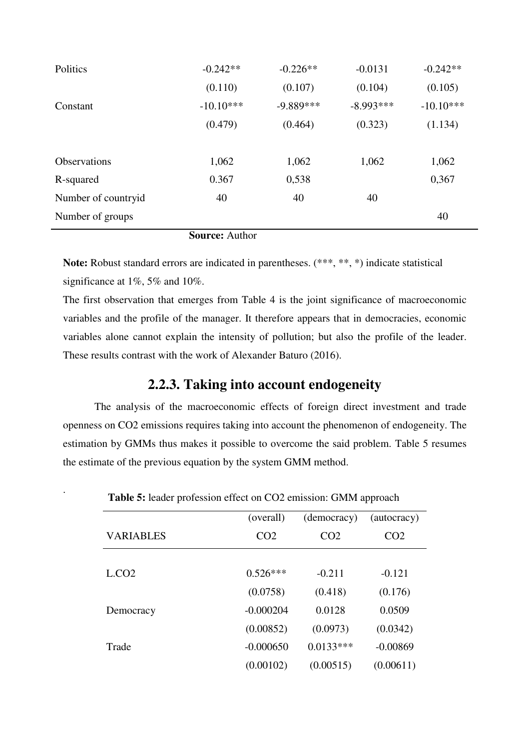| Politics            | $-0.242**$  | $-0.226**$  | $-0.0131$   | $-0.242**$  |
|---------------------|-------------|-------------|-------------|-------------|
|                     | (0.110)     | (0.107)     | (0.104)     | (0.105)     |
| Constant            | $-10.10***$ | $-9.889***$ | $-8.993***$ | $-10.10***$ |
|                     | (0.479)     | (0.464)     | (0.323)     | (1.134)     |
|                     |             |             |             |             |
| Observations        | 1,062       | 1,062       | 1,062       | 1,062       |
| R-squared           | 0.367       | 0,538       |             | 0,367       |
| Number of countryid | 40          | 40          | 40          |             |
| Number of groups    |             |             |             | 40          |

**Source:** Author

**Note:** Robust standard errors are indicated in parentheses. (\*\*\*, \*\*, \*) indicate statistical significance at 1%, 5% and 10%.

The first observation that emerges from Table 4 is the joint significance of macroeconomic variables and the profile of the manager. It therefore appears that in democracies, economic variables alone cannot explain the intensity of pollution; but also the profile of the leader. These results contrast with the work of Alexander Baturo (2016).

## **2.2.3. Taking into account endogeneity**

 The analysis of the macroeconomic effects of foreign direct investment and trade openness on CO2 emissions requires taking into account the phenomenon of endogeneity. The estimation by GMMs thus makes it possible to overcome the said problem. Table 5 resumes the estimate of the previous equation by the system GMM method.

|                  | (overall)       | (democracy)     | (autocracy)     |
|------------------|-----------------|-----------------|-----------------|
| <b>VARIABLES</b> | CO <sub>2</sub> | CO <sub>2</sub> | CO <sub>2</sub> |
|                  |                 |                 |                 |
| L.CO2            | $0.526***$      | $-0.211$        | $-0.121$        |
|                  | (0.0758)        | (0.418)         | (0.176)         |
| Democracy        | $-0.000204$     | 0.0128          | 0.0509          |
|                  | (0.00852)       | (0.0973)        | (0.0342)        |
| Trade            | $-0.000650$     | $0.0133***$     | $-0.00869$      |
|                  | (0.00102)       | (0.00515)       | (0.00611)       |

**Table 5:** leader profession effect on CO2 emission: GMM approach

.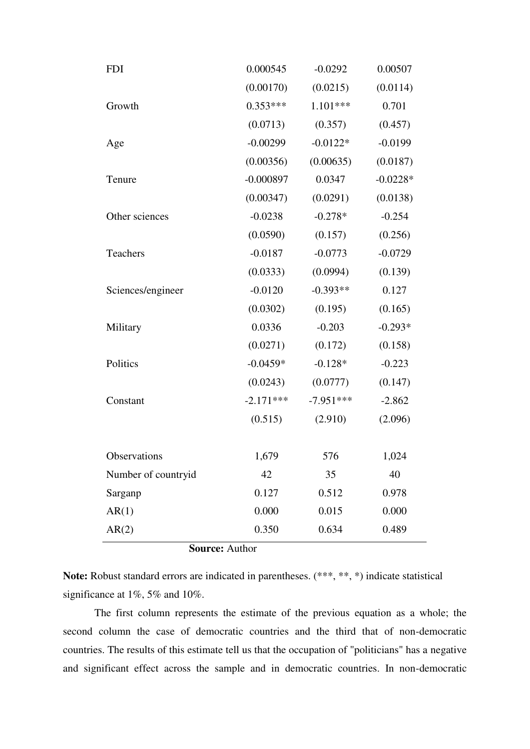| <b>FDI</b>            | 0.000545    | $-0.0292$   | 0.00507    |  |  |  |  |  |  |  |
|-----------------------|-------------|-------------|------------|--|--|--|--|--|--|--|
|                       | (0.00170)   | (0.0215)    | (0.0114)   |  |  |  |  |  |  |  |
| Growth                | $0.353***$  | 1.101***    | 0.701      |  |  |  |  |  |  |  |
|                       | (0.0713)    | (0.357)     | (0.457)    |  |  |  |  |  |  |  |
| Age                   | $-0.00299$  | $-0.0122*$  | $-0.0199$  |  |  |  |  |  |  |  |
|                       | (0.00356)   | (0.00635)   | (0.0187)   |  |  |  |  |  |  |  |
| Tenure                | $-0.000897$ | 0.0347      | $-0.0228*$ |  |  |  |  |  |  |  |
|                       | (0.00347)   | (0.0291)    | (0.0138)   |  |  |  |  |  |  |  |
| Other sciences        | $-0.0238$   | $-0.278*$   | $-0.254$   |  |  |  |  |  |  |  |
|                       | (0.0590)    | (0.157)     | (0.256)    |  |  |  |  |  |  |  |
| Teachers              | $-0.0187$   | $-0.0773$   | $-0.0729$  |  |  |  |  |  |  |  |
|                       | (0.0333)    | (0.0994)    | (0.139)    |  |  |  |  |  |  |  |
| Sciences/engineer     | $-0.0120$   | $-0.393**$  | 0.127      |  |  |  |  |  |  |  |
|                       | (0.0302)    | (0.195)     | (0.165)    |  |  |  |  |  |  |  |
| Military              | 0.0336      | $-0.203$    | $-0.293*$  |  |  |  |  |  |  |  |
|                       | (0.0271)    | (0.172)     | (0.158)    |  |  |  |  |  |  |  |
| Politics              | $-0.0459*$  | $-0.128*$   | $-0.223$   |  |  |  |  |  |  |  |
|                       | (0.0243)    | (0.0777)    | (0.147)    |  |  |  |  |  |  |  |
| Constant              | $-2.171***$ | $-7.951***$ | $-2.862$   |  |  |  |  |  |  |  |
|                       | (0.515)     | (2.910)     | (2.096)    |  |  |  |  |  |  |  |
|                       |             |             |            |  |  |  |  |  |  |  |
| Observations          | 1,679       | 576         | 1,024      |  |  |  |  |  |  |  |
| Number of countryid   | 42          | 35          | 40         |  |  |  |  |  |  |  |
| Sarganp               | 0.127       | 0.512       | 0.978      |  |  |  |  |  |  |  |
| AR(1)                 | 0.000       | 0.015       | 0.000      |  |  |  |  |  |  |  |
| AR(2)                 | 0.350       | 0.634       | 0.489      |  |  |  |  |  |  |  |
| <b>Source: Author</b> |             |             |            |  |  |  |  |  |  |  |

**Note:** Robust standard errors are indicated in parentheses. (\*\*\*, \*\*, \*) indicate statistical significance at 1%, 5% and 10%.

 The first column represents the estimate of the previous equation as a whole; the second column the case of democratic countries and the third that of non-democratic countries. The results of this estimate tell us that the occupation of "politicians" has a negative and significant effect across the sample and in democratic countries. In non-democratic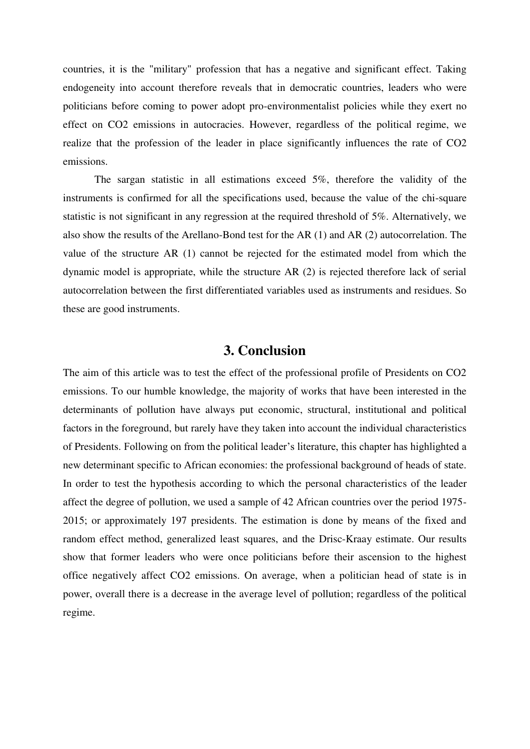countries, it is the "military" profession that has a negative and significant effect. Taking endogeneity into account therefore reveals that in democratic countries, leaders who were politicians before coming to power adopt pro-environmentalist policies while they exert no effect on CO2 emissions in autocracies. However, regardless of the political regime, we realize that the profession of the leader in place significantly influences the rate of CO2 emissions.

 The sargan statistic in all estimations exceed 5%, therefore the validity of the instruments is confirmed for all the specifications used, because the value of the chi-square statistic is not significant in any regression at the required threshold of 5%. Alternatively, we also show the results of the Arellano-Bond test for the AR (1) and AR (2) autocorrelation. The value of the structure AR (1) cannot be rejected for the estimated model from which the dynamic model is appropriate, while the structure AR (2) is rejected therefore lack of serial autocorrelation between the first differentiated variables used as instruments and residues. So these are good instruments.

#### **3. Conclusion**

The aim of this article was to test the effect of the professional profile of Presidents on CO2 emissions. To our humble knowledge, the majority of works that have been interested in the determinants of pollution have always put economic, structural, institutional and political factors in the foreground, but rarely have they taken into account the individual characteristics of Presidents. Following on from the political leader's literature, this chapter has highlighted a new determinant specific to African economies: the professional background of heads of state. In order to test the hypothesis according to which the personal characteristics of the leader affect the degree of pollution, we used a sample of 42 African countries over the period 1975- 2015; or approximately 197 presidents. The estimation is done by means of the fixed and random effect method, generalized least squares, and the Drisc-Kraay estimate. Our results show that former leaders who were once politicians before their ascension to the highest office negatively affect CO2 emissions. On average, when a politician head of state is in power, overall there is a decrease in the average level of pollution; regardless of the political regime.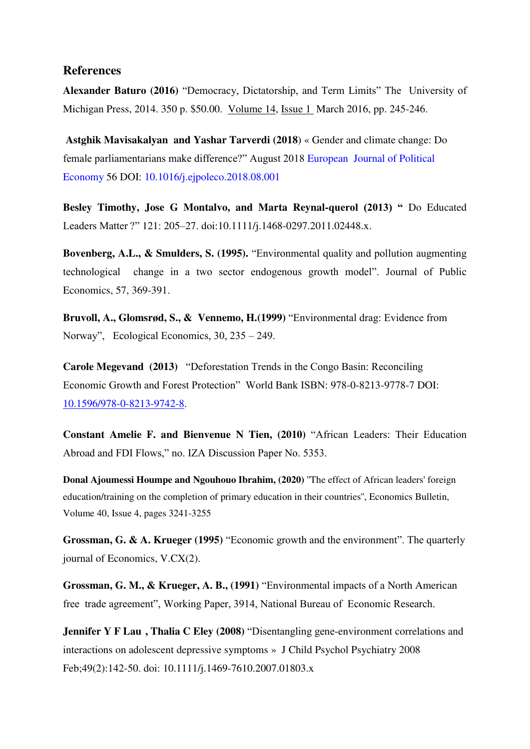#### **References**

**Alexander Baturo (2016)** "Democracy, Dictatorship, and Term Limits" The University of Michigan Press, 2014. 350 p. \$50.00. [Volume 14,](https://www.cambridge.org/core/journals/perspectives-on-politics/volume/77840FA30A25A5E87616E0384AAED624) [Issue 1](https://www.cambridge.org/core/journals/perspectives-on-politics/issue/54532544EFAEB65A996FFCDFDFDD5197) March 2016, pp. 245-246.

 **[Astghik Mavisakalyan](https://www.researchgate.net/profile/Astghik_Mavisakalyan) and [Yashar Tarverdi](https://www.researchgate.net/profile/Yashar_Tarverdi) (2018**) « Gender and climate change: Do female parliamentarians make difference?" August 2018 [European Journal of Political](https://www.researchgate.net/journal/0176-2680_European_Journal_of_Political_Economy)  [Economy](https://www.researchgate.net/journal/0176-2680_European_Journal_of_Political_Economy) 56 DOI: [10.1016/j.ejpoleco.2018.08.001](https://www.researchgate.net/deref/http%3A%2F%2Fdx.doi.org%2F10.1016%2Fj.ejpoleco.2018.08.001)

**Besley Timothy, Jose G Montalvo, and Marta Reynal-querol (2013) "** Do Educated Leaders Matter ?" 121: 205–27. doi:10.1111/j.1468-0297.2011.02448.x.

**Bovenberg, A.L., & Smulders, S. (1995).** "Environmental quality and pollution augmenting technological change in a two sector endogenous growth model". Journal of Public Economics, 57, 369-391.

**Bruvoll, A., Glomsrød, S., & Vennemo, H.(1999)** "Environmental drag: Evidence from Norway", Ecological Economics, 30, 235 – 249.

**Carole Megevand (2013)** "Deforestation Trends in the Congo Basin: Reconciling Economic Growth and Forest Protection" World Bank ISBN: 978-0-8213-9778-7 DOI: [10.1596/978-0-8213-9742-8.](https://www.researchgate.net/deref/http%3A%2F%2Fdx.doi.org%2F10.1596%2F978-0-8213-9742-8)

**Constant Amelie F. and Bienvenue N Tien, (2010)** "African Leaders: Their Education Abroad and FDI Flows," no. IZA Discussion Paper No. 5353.

**Donal Ajoumessi Houmpe and Ngouhouo Ibrahim, (2020)** ''The effect of African leaders' foreign education/training on the completion of primary education in their countries'', Economics Bulletin, Volume 40, Issue 4, pages 3241-3255

**Grossman, G. & A. Krueger (1995)** "Economic growth and the environment". The quarterly journal of Economics, V.CX(2).

**Grossman, G. M., & Krueger, A. B., (1991)** "Environmental impacts of a North American free trade agreement", Working Paper, 3914, National Bureau of Economic Research.

**[Jennifer Y F Lau](https://pubmed.ncbi.nlm.nih.gov/?term=Lau+JY&cauthor_id=18211276) [,](https://pubmed.ncbi.nlm.nih.gov/18211276/#affiliation-1) [Thalia C Eley](https://pubmed.ncbi.nlm.nih.gov/?term=Eley+TC&cauthor_id=18211276) (2008)** "Disentangling gene-environment correlations and interactions on adolescent depressive symptoms » J Child Psychol Psychiatry 2008 Feb;49(2):142-50. doi: 10.1111/j.1469-7610.2007.01803.x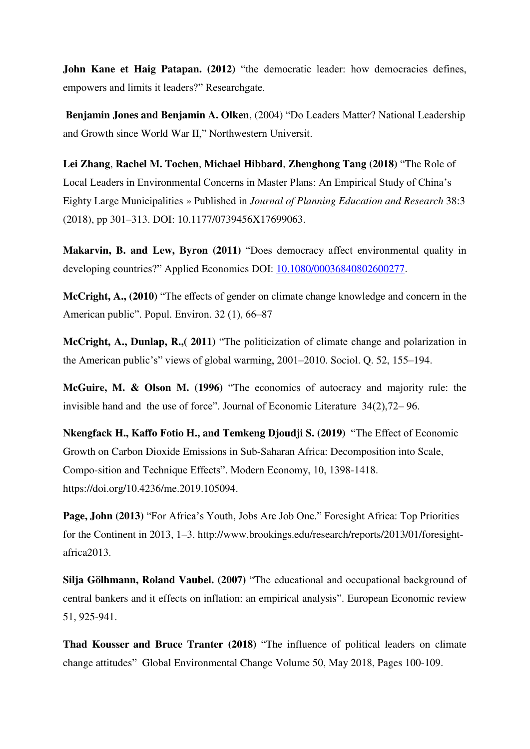**John Kane et Haig Patapan.** (2012) "the democratic leader: how democracies defines, empowers and limits it leaders?" Researchgate.

 **Benjamin Jones and Benjamin A. Olken**, (2004) "Do Leaders Matter? National Leadership and Growth since World War II," Northwestern Universit.

**Lei Zhang**, **Rachel M. Tochen**, **Michael Hibbard**, **Zhenghong Tang (2018)** "[The Role of](https://digitalcommons.unl.edu/cgi/viewcontent.cgi?article=1030&context=arch_crp_facultyschol)  [Local Leaders in Environmental Concerns in Master Plans: An Empirical Study of China's](https://digitalcommons.unl.edu/cgi/viewcontent.cgi?article=1030&context=arch_crp_facultyschol)  [Eighty Large Municipalities](https://digitalcommons.unl.edu/cgi/viewcontent.cgi?article=1030&context=arch_crp_facultyschol) » Published in *Journal of Planning Education and Research* 38:3 (2018), pp 301–313. DOI: 10.1177/0739456X17699063.

**Makarvin, B. and Lew, Byron (2011)** "Does democracy affect environmental quality in developing countries?" Applied Economics DOI: [10.1080/00036840802600277.](https://www.researchgate.net/deref/http%3A%2F%2Fdx.doi.org%2F10.1080%2F00036840802600277)

**McCright, A., (2010)** "The effects of gender on climate change knowledge and concern in the American public". Popul. Environ. 32 (1), 66–87

**McCright, A., Dunlap, R.,( 2011)** "The politicization of climate change and polarization in the American public's" views of global warming, 2001–2010. Sociol. Q. 52, 155–194.

**McGuire, M. & Olson M. (1996)** "The economics of autocracy and majority rule: the invisible hand and the use of force". Journal of Economic Literature 34(2),72– 96.

**Nkengfack H., Kaffo Fotio H., and Temkeng Djoudji S. (2019)** "The Effect of Economic Growth on Carbon Dioxide Emissions in Sub-Saharan Africa: Decomposition into Scale, Compo-sition and Technique Effects". Modern Economy, 10, 1398-1418. https://doi.org/10.4236/me.2019.105094.

**Page, John (2013)** "For Africa's Youth, Jobs Are Job One." Foresight Africa: Top Priorities for the Continent in 2013, 1–3. http://www.brookings.edu/research/reports/2013/01/foresightafrica2013.

**Silja Gölhmann, Roland Vaubel. (2007)** "The educational and occupational background of central bankers and it effects on inflation: an empirical analysis". European Economic review 51, 925-941.

**Thad Kousser and Bruce Tranter (2018)** "The influence of political leaders on climate change attitudes" [Global Environmental Change](https://www.sciencedirect.com/science/journal/09593780) [Volume 50,](https://www.sciencedirect.com/science/journal/09593780/50/supp/C) May 2018, Pages 100-109.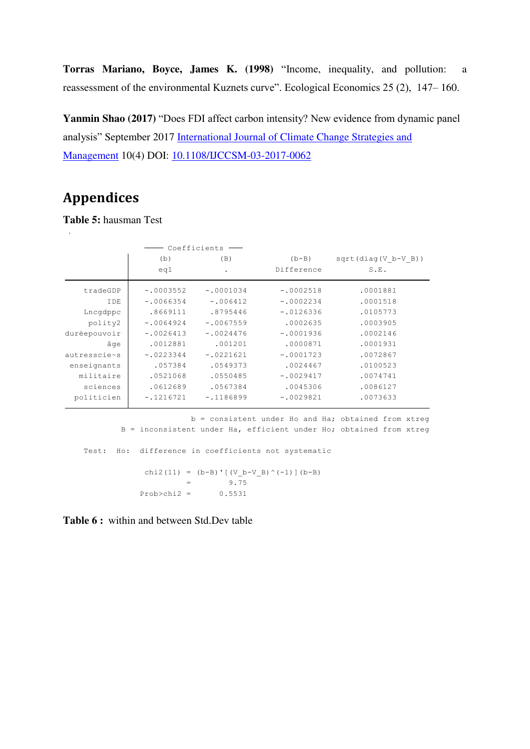**Torras Mariano, Boyce, James K. (1998)** "Income, inequality, and pollution: a reassessment of the environmental Kuznets curve". Ecological Economics 25 (2), 147– 160.

**Yanmin Shao (2017)** "Does FDI affect carbon intensity? New evidence from dynamic panel analysis" September 2017 [International Journal of Climate Change Strategies and](https://www.researchgate.net/journal/1756-8692_International_Journal_of_Climate_Change_Strategies_and_Management)  [Management](https://www.researchgate.net/journal/1756-8692_International_Journal_of_Climate_Change_Strategies_and_Management) 10(4) DOI: [10.1108/IJCCSM-03-2017-0062](https://www.researchgate.net/deref/http%3A%2F%2Fdx.doi.org%2F10.1108%2FIJCCSM-03-2017-0062) 

# **Appendices**

**Table 5:** hausman Test

|              | Coefficients |             |             |                       |
|--------------|--------------|-------------|-------------|-----------------------|
|              | (b)          | (B)         | $(b-B)$     | $sqrt(diag(V b-V B))$ |
|              | eq1          | $\bullet$   | Difference  | S.E.                  |
| tradeGDP     | $-.0003552$  | $-.0001034$ | $-.0002518$ | .0001881              |
| IDE          | $-.0066354$  | $-.006412$  | $-.0002234$ | .0001518              |
| Lncqdppc     | .8669111     | .8795446    | $-.0126336$ | .0105773              |
| polity2      | $-.0064924$  | $-.0067559$ | .0002635    | .0003905              |
| duréepouvoir | $-.0026413$  | $-.0024476$ | $-.0001936$ | .0002146              |
| âqe          | .0012881     | .001201     | .0000871    | .0001931              |
| autresscie~s | $-.0223344$  | $-.0221621$ | $-.0001723$ | .0072867              |
| enseignants  | .057384      | .0549373    | .0024467    | .0100523              |
| militaire    | .0521068     | .0550485    | $-.0029417$ | .0074741              |
| sciences     | .0612689     | .0567384    | .0045306    | .0086127              |
| politicien   | $-.1216721$  | $-.1186899$ | $-.0029821$ | .0073633              |

 B = inconsistent under Ha, efficient under Ho; obtained from xtreg b = consistent under Ho and Ha; obtained from xtreg

Prob>chi2 =  $0.5531$  $=$  9.75 chi2(11) =  $(b-B)'$  [(V b-V B)^(-1)](b-B) Test: Ho: difference in coefficients not systematic

**Table 6 :** within and between Std.Dev table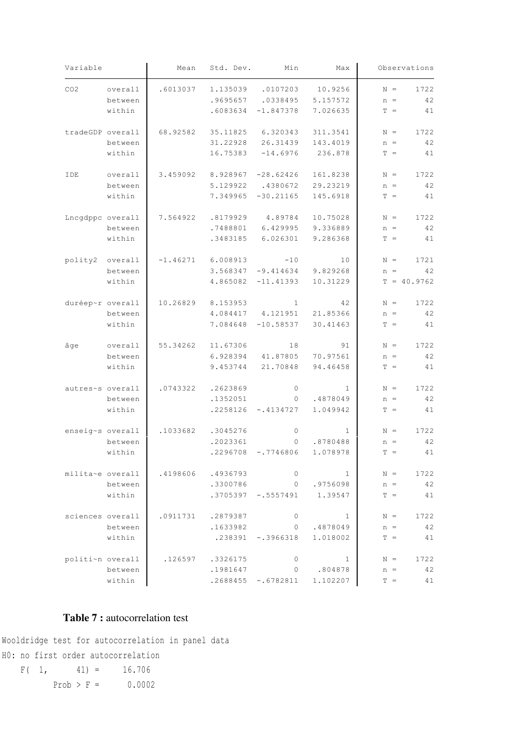| Variable         |         | Mean     | Std. Dev.                     | Min                   | Max          |       | Observations  |
|------------------|---------|----------|-------------------------------|-----------------------|--------------|-------|---------------|
| CO <sub>2</sub>  | overall | .6013037 | 1.135039                      | .0107203              | 10.9256      | $N =$ | 1722          |
|                  | between |          | .9695657                      | .0338495              | 5.157572     | $n =$ | 42            |
|                  | within  |          | .6083634                      | $-1.847378$           | 7.026635     | $T =$ | 41            |
| tradeGDP overall |         | 68.92582 | 35.11825                      | 6.320343              | 311.3541     | $N =$ | 1722          |
|                  | between |          | 31.22928                      | 26.31439              | 143.4019     | $n =$ | 42            |
|                  | within  |          | 16.75383                      | $-14.6976$            | 236.878      | $T =$ | 41            |
| IDE              | overall |          | $3.459092$ 8.928967 -28.62426 |                       | 161.8238     | $N =$ | 1722          |
|                  | between |          | 5.129922                      | .4380672              | 29.23219     | $n =$ | 42            |
|                  | within  |          | 7.349965                      | $-30.21165$           | 145.6918     | $T =$ | 41            |
| Lncgdppc overall |         | 7.564922 | .8179929                      | 4.89784               | 10.75028     | $N =$ | 1722          |
|                  | between |          | .7488801                      | 6.429995              | 9.336889     | $n =$ | 42            |
|                  | within  |          | .3483185                      | 6.026301              | 9.286368     | $T =$ | 41            |
| polity2 overall  |         |          | $-1.46271$ 6.008913           | $-10$                 | 10           | $N =$ | 1721          |
|                  | between |          |                               | $3.568347 - 9.414634$ | 9.829268     | $n =$ | 42            |
|                  | within  |          |                               | $4.865082 -11.41393$  | 10.31229     |       | $T = 40.9762$ |
| duréep~r overall |         |          | 10.26829 8.153953             |                       | 42           | $N =$ | 1722          |
|                  | between |          |                               | 4.084417 4.121951     | 21.85366     | $n =$ | 42            |
|                  | within  |          | 7.084648                      | $-10.58537$           | 30.41463     | $T =$ | 41            |
| âge              | overall | 55.34262 | 11.67306                      | 18                    | 91           | $N =$ | 1722          |
|                  | between |          | 6.928394                      | 41.87805              | 70.97561     | $n =$ | 42            |
|                  | within  |          | 9.453744                      | 21.70848              | 94.46458     | $T =$ | 41            |
| autres~s overall |         | .0743322 | .2623869                      | $\overline{0}$        | 1            | $N =$ | 1722          |
|                  | between |          | .1352051                      | $\overline{0}$        | .4878049     | $n =$ | 42            |
|                  | within  |          | .2258126                      | $-.4134727$           | 1.049942     | $T =$ | 41            |
| enseig~s overall |         | .1033682 | .3045276                      | $\overline{0}$        | 1            | $N =$ | 1722          |
|                  | between |          | .2023361                      | 0                     | .8780488     | $n =$ | 42            |
|                  | within  |          | .2296708                      | $-.7746806$           | 1.078978     | $T =$ | 41            |
| milita~e overall |         | .4198606 | .4936793                      | $\circ$               | $\mathbf{1}$ | $N =$ | 1722          |
|                  | between |          | .3300786                      | $\overline{0}$        | .9756098     | $n =$ | 42            |
|                  | within  |          |                               | $.3705397 - .5557491$ | 1.39547      | $T =$ | 41            |
| sciences overall |         | .0911731 | .2879387                      | 0                     | 1            | $N =$ | 1722          |
|                  | between |          | .1633982                      | $\circ$               | .4878049     | $n =$ | 42            |
|                  | within  |          |                               | $.238391 - .3966318$  | 1.018002     | $T =$ | 41            |
| politi~n overall |         | .126597  | .3326175                      | $\circ$               | 1            | $N =$ | 1722          |
|                  | between |          | .1981647                      | $\circ$               | .804878      | $n =$ | 42            |
|                  | within  |          |                               | $.2688455 - .6782811$ | 1.102207     | $T =$ | 41            |

#### **Table 7 :** autocorrelation test

H0: no first order autocorrelation Wooldridge test for autocorrelation in panel data

Prob >  $F = 0.0002$  $F( 1, 41) = 16.706$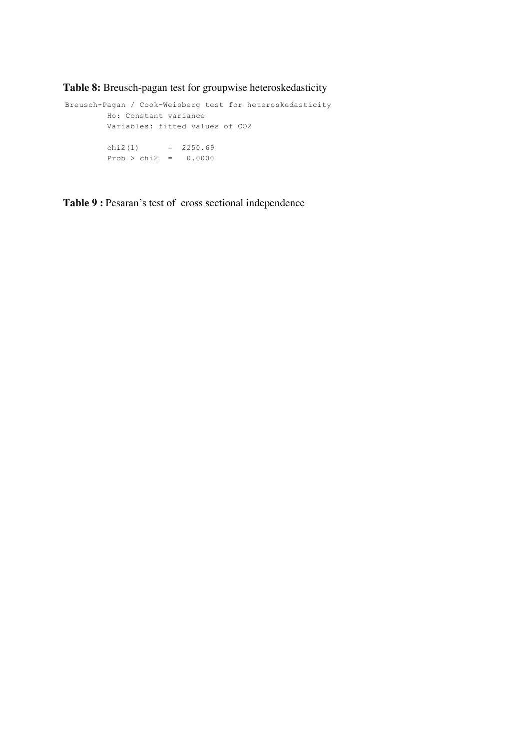**Table 8:** Breusch-pagan test for groupwise heteroskedasticity

```
Prob > chi2 = 0.0000chi2(1) = 2250.69 Variables: fitted values of CO2
         Ho: Constant variance
Breusch-Pagan / Cook-Weisberg test for heteroskedasticity
```
**Table 9 :** Pesaran's test of cross sectional independence